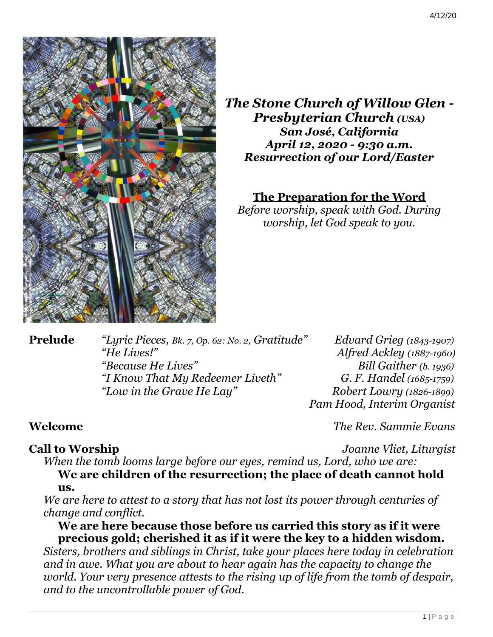

*The Stone Church of Willow Glen - Presbyterian Church (USA) San José, California April 12, 2020 - 9:30 a.m. Resurrection of our Lord/Easter*

### **The Preparation for the Word**

*Before worship, speak with God. During worship, let God speak to you.* 

**Prelude** *"Lyric Pieces, Bk. 7, Op. 62: No. 2, Gratitude" Edvard Grieg (1843-1907) "He Lives!" Alfred Ackley (1887-1960) "Because He Lives" Bill Gaither (b. 1936) "I Know That My Redeemer Liveth" G. F. Handel (1685-1759) "Low in the Grave He Lay" Robert Lowry (1826-1899)*

 *Pam Hood, Interim Organist*

**Welcome** *The Rev. Sammie Evans*

**Call to Worship** *Joanne Vliet, Liturgist*

*When the tomb looms large before our eyes, remind us, Lord, who we are:* **We are children of the resurrection; the place of death cannot hold us.**

*We are here to attest to a story that has not lost its power through centuries of change and conflict.*

**We are here because those before us carried this story as if it were precious gold; cherished it as if it were the key to a hidden wisdom.**

*Sisters, brothers and siblings in Christ, take your places here today in celebration and in awe. What you are about to hear again has the capacity to change the world. Your very presence attests to the rising up of life from the tomb of despair, and to the uncontrollable power of God.*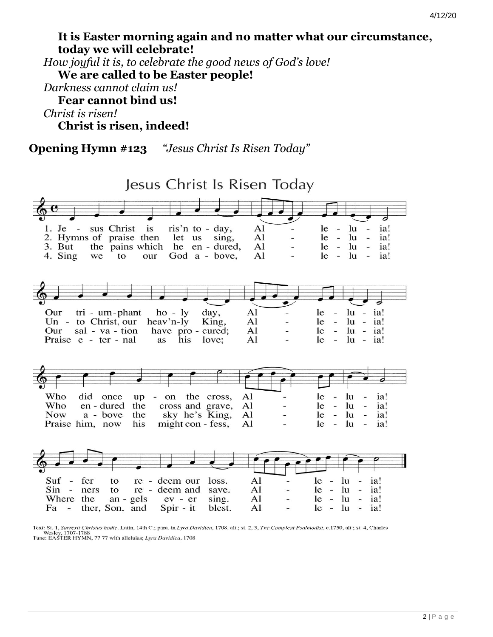#### **It is Easter morning again and no matter what our circumstance, today we will celebrate!**

*How joyful it is, to celebrate the good news of God's love!*

**We are called to be Easter people!**

*Darkness cannot claim us!*

**Fear cannot bind us!**

*Christ is risen!*

**Christ is risen, indeed!** 

**Opening Hymn #123** *"Jesus Christ Is Risen Today"*



Text: St. 1, Surrexit Christus hodie, Latin, 14th C.; para. in Lyra Davidica, 1708, alt.; st. 2, 3, The Compleat Psalmodist, c.1750, alt.; st. 4, Charles Wesley, 1707-1788<br>Tune: EASTER HYMN, 77 77 with alleluias; Lyra Davidica, 1708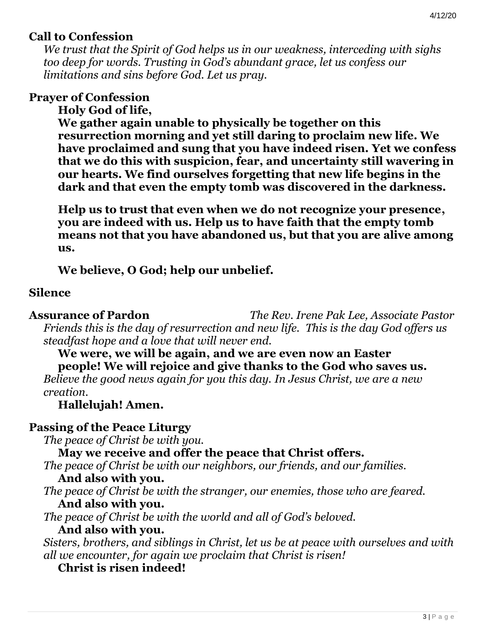## **Call to Confession**

*We trust that the Spirit of God helps us in our weakness, interceding with sighs too deep for words. Trusting in God's abundant grace, let us confess our limitations and sins before God. Let us pray.*

## **Prayer of Confession**

**Holy God of life,**

**We gather again unable to physically be together on this resurrection morning and yet still daring to proclaim new life. We have proclaimed and sung that you have indeed risen. Yet we confess that we do this with suspicion, fear, and uncertainty still wavering in our hearts. We find ourselves forgetting that new life begins in the dark and that even the empty tomb was discovered in the darkness.**

**Help us to trust that even when we do not recognize your presence, you are indeed with us. Help us to have faith that the empty tomb means not that you have abandoned us, but that you are alive among us.**

**We believe, O God; help our unbelief.**

## **Silence**

**Assurance of Pardon** *The Rev. Irene Pak Lee, Associate Pastor Friends this is the day of resurrection and new life. This is the day God offers us steadfast hope and a love that will never end.*

**We were, we will be again, and we are even now an Easter people! We will rejoice and give thanks to the God who saves us.** *Believe the good news again for you this day. In Jesus Christ, we are a new* 

*creation.*

**Hallelujah! Amen.**

## **Passing of the Peace Liturgy**

*The peace of Christ be with you.*

## **May we receive and offer the peace that Christ offers.**

*The peace of Christ be with our neighbors, our friends, and our families.*

#### **And also with you.**

*The peace of Christ be with the stranger, our enemies, those who are feared.* **And also with you.**

*The peace of Christ be with the world and all of God's beloved.*

**And also with you.** 

*Sisters, brothers, and siblings in Christ, let us be at peace with ourselves and with all we encounter, for again we proclaim that Christ is risen!*

**Christ is risen indeed!**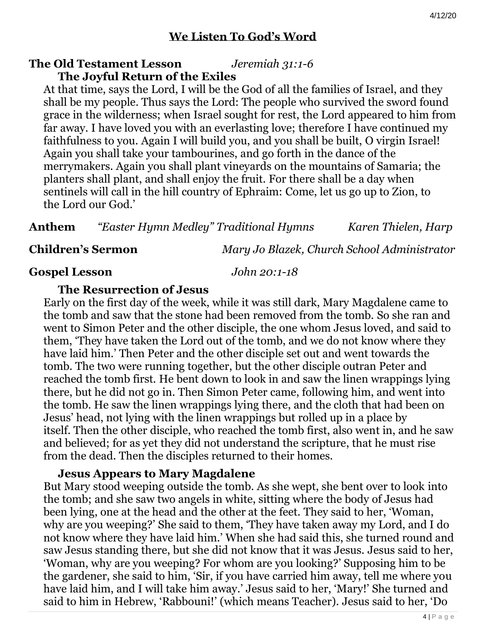#### **We Listen To God's Word**

#### **The Old Testament Lesson** *Jeremiah 31:1-6* **The Joyful Return of the Exiles**

At that time, says the Lord, I will be the God of all the families of Israel, and they shall be my people. Thus says the Lord: The people who survived the sword found grace in the wilderness; when Israel sought for rest, the Lord appeared to him from far away. I have loved you with an everlasting love; therefore I have continued my faithfulness to you. Again I will build you, and you shall be built, O virgin Israel! Again you shall take your tambourines, and go forth in the dance of the merrymakers. Again you shall plant vineyards on the mountains of Samaria; the planters shall plant, and shall enjoy the fruit. For there shall be a day when sentinels will call in the hill country of Ephraim: Come, let us go up to Zion, to the Lord our God.'

**Anthem** *"Easter Hymn Medley" Traditional Hymns Karen Thielen, Harp*

**Children's Sermon** *Mary Jo Blazek, Church School Administrator*

#### **Gospel Lesson** *John 20:1-18*

#### **The Resurrection of Jesus**

Early on the first day of the week, while it was still dark, Mary Magdalene came to the tomb and saw that the stone had been removed from the tomb. So she ran and went to Simon Peter and the other disciple, the one whom Jesus loved, and said to them, 'They have taken the Lord out of the tomb, and we do not know where they have laid him.' Then Peter and the other disciple set out and went towards the tomb. The two were running together, but the other disciple outran Peter and reached the tomb first. He bent down to look in and saw the linen wrappings lying there, but he did not go in. Then Simon Peter came, following him, and went into the tomb. He saw the linen wrappings lying there, and the cloth that had been on Jesus' head, not lying with the linen wrappings but rolled up in a place by itself. Then the other disciple, who reached the tomb first, also went in, and he saw and believed; for as yet they did not understand the scripture, that he must rise from the dead. Then the disciples returned to their homes.

#### **Jesus Appears to Mary Magdalene**

But Mary stood weeping outside the tomb. As she wept, she bent over to look into the tomb; and she saw two angels in white, sitting where the body of Jesus had been lying, one at the head and the other at the feet. They said to her, 'Woman, why are you weeping?' She said to them, 'They have taken away my Lord, and I do not know where they have laid him.' When she had said this, she turned round and saw Jesus standing there, but she did not know that it was Jesus. Jesus said to her, 'Woman, why are you weeping? For whom are you looking?' Supposing him to be the gardener, she said to him, 'Sir, if you have carried him away, tell me where you have laid him, and I will take him away.' Jesus said to her, 'Mary!' She turned and said to him in Hebrew, 'Rabbouni!' (which means Teacher). Jesus said to her, 'Do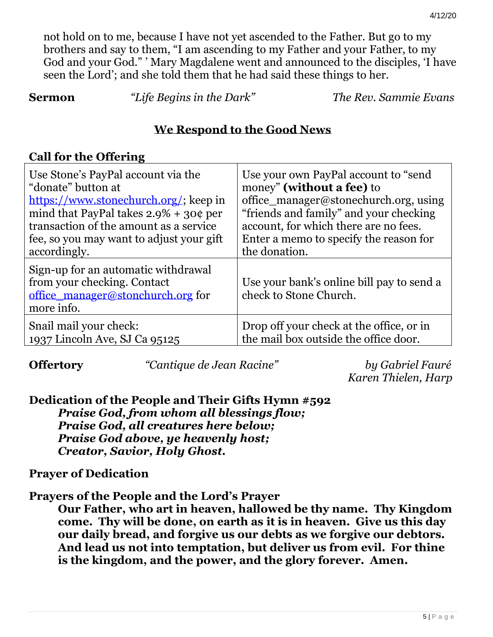not hold on to me, because I have not yet ascended to the Father. But go to my brothers and say to them, "I am ascending to my Father and your Father, to my God and your God." ' Mary Magdalene went and announced to the disciples, 'I have seen the Lord'; and she told them that he had said these things to her.

**Sermon** *"Life Begins in the Dark" The Rev. Sammie Evans*

## **We Respond to the Good News**

### **Call for the Offering**

| Use Stone's PayPal account via the                                                                                    | Use your own PayPal account to "send                                |
|-----------------------------------------------------------------------------------------------------------------------|---------------------------------------------------------------------|
| "donate" button at                                                                                                    | money" (without a fee) to                                           |
| https://www.stonechurch.org/; keep in                                                                                 | office_manager@stonechurch.org, using                               |
| mind that PayPal takes $2.9\% + 30¢$ per                                                                              | "friends and family" and your checking                              |
| transaction of the amount as a service                                                                                | account, for which there are no fees.                               |
| fee, so you may want to adjust your gift                                                                              | Enter a memo to specify the reason for                              |
| accordingly.                                                                                                          | the donation.                                                       |
| Sign-up for an automatic withdrawal<br>from your checking. Contact<br>office_manager@stonchurch.org for<br>more info. | Use your bank's online bill pay to send a<br>check to Stone Church. |
| Snail mail your check:                                                                                                | Drop off your check at the office, or in                            |
| 1937 Lincoln Ave, SJ Ca 95125                                                                                         | the mail box outside the office door.                               |

**Offertory** *"Cantique de Jean Racine" by Gabriel Fauré*

*Karen Thielen, Harp*

### **Dedication of the People and Their Gifts Hymn #592**  *Praise God, from whom all blessings flow; Praise God, all creatures here below; Praise God above, ye heavenly host; Creator, Savior, Holy Ghost.*

### **Prayer of Dedication**

**Prayers of the People and the Lord's Prayer**

**Our Father, who art in heaven, hallowed be thy name. Thy Kingdom come. Thy will be done, on earth as it is in heaven. Give us this day our daily bread, and forgive us our debts as we forgive our debtors. And lead us not into temptation, but deliver us from evil. For thine is the kingdom, and the power, and the glory forever. Amen.**